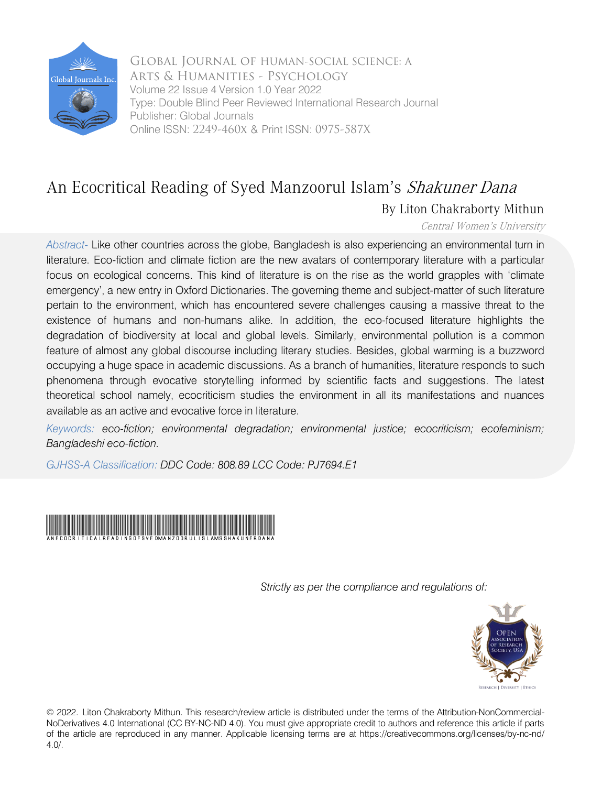

 Online ISSN: 2249-460x & Print ISSN: 0975-587X Arts & Humanities - Psychology Global Journal of HUMAN-SOCIAL SCIENCE: A Volume 22 Issue 4 Version 1.0 Year 2022 Type: Double Blind Peer Reviewed International Research Journal Publisher: Global Journals

## An Ecocritical Reading of Syed Manzoorul Islam's Shakuner Dana

By Liton Chakraborty Mithun

Central Women's University

*Abstract-* Like other countries across the globe, Bangladesh is also experiencing an environmental turn in literature. Eco-fiction and climate fiction are the new avatars of contemporary literature with a particular focus on ecological concerns. This kind of literature is on the rise as the world grapples with 'climate emergency', a new entry in Oxford Dictionaries. The governing theme and subject-matter of such literature pertain to the environment, which has encountered severe challenges causing a massive threat to the existence of humans and non-humans alike. In addition, the eco-focused literature highlights the degradation of biodiversity at local and global levels. Similarly, environmental pollution is a common feature of almost any global discourse including literary studies. Besides, global warming is a buzzword occupying a huge space in academic discussions. As a branch of humanities, literature responds to such phenomena through evocative storytelling informed by scientific facts and suggestions. The latest theoretical school namely, ecocriticism studies the environment in all its manifestations and nuances available as an active and evocative force in literature.

*Keywords: eco-fiction; environmental degradation; environmental justice; ecocriticism; ecofeminism; Bangladeshi eco-fiction.*

*GJHSS-A Classification: DDC Code: 808.89 LCC Code: PJ7694.E1*



*Strictly as per the compliance and regulations of:*



© 2022. Liton Chakraborty Mithun. This research/review article is distributed under the terms of the Attribution-NonCommercial-NoDerivatives 4.0 International (CC BY-NC-ND 4.0). You must give appropriate credit to authors and reference this article if parts of the article are reproduced in any manner. Applicable licensing terms are at https://creativecommons.org/licenses/by-nc-nd/ 4.0/.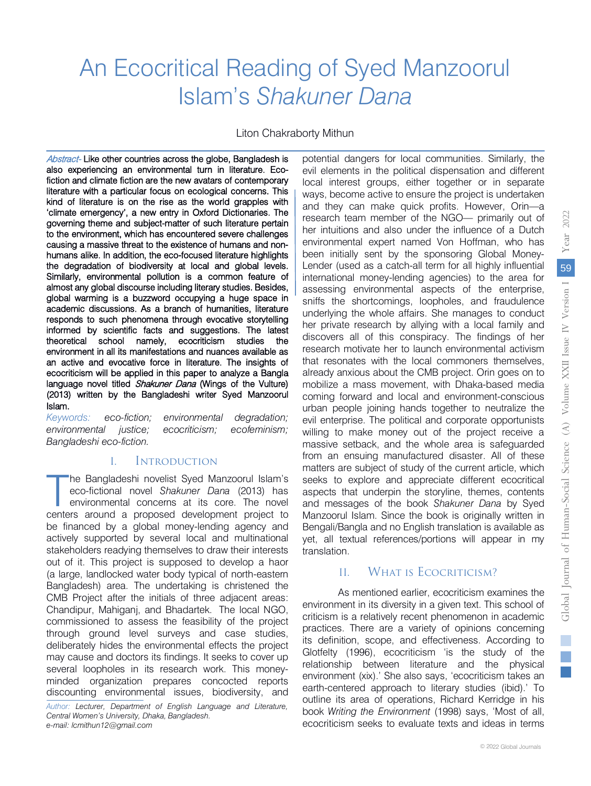# An Ecocritical Reading of Syed Manzoorul Islam's *Shakuner Dana*

### Liton Chakraborty Mithun

 literature with a particular focus on ecological concerns. This Abstract- Like other countries across the globe, Bangladesh is also experiencing an environmental turn in literature. Ecofictio[n and climate fiction are](mailto:lcmithun12@gmail.com) the new avatars of contemporary kind of literature is on the rise as the world grapples with 'climate emergency', a new entry in Oxford Dictionaries. The governing theme and subject-matter of such literature pertain to the environment, which has encountered severe challenges causing a massive threat to the existence of humans and nonhumans alike. In addition, the eco-focused literature highlights the degradation of biodiversity at local and global levels. Similarly, environmental pollution is a common feature of almost any global discourse including literary studies. Besides, global warming is a buzzword occupying a huge space in academic discussions. As a branch of humanities, literature responds to such phenomena through evocative storytelling informed by scientific facts and suggestions. The latest theoretical school namely, ecocriticism studies the environment in all its manifestations and nuances available as an active and evocative force in literature. The insights of ecocriticism will be applied in this paper to analyze a Bangla language novel titled Shakuner Dana (Wings of the Vulture) (2013) written by the Bangladeshi writer Syed Manzoorul Islam.

 *Keywords: eco-fiction; environmental degradation; environmental justice; ecocriticism; ecofeminism; Bangladeshi eco-fiction.*

## I. Introduction

The Bangladeshi novelist Syed Manzoorul Islam's<br>
eco-fictional novel Shakuner Dana (2013) has<br>
environmental concerns at its core. The novel<br>
centers around a proposed development project to he Bangladeshi novelist Syed Manzoorul Islam's eco-fictional novel *Shakuner Dana* (2013) has environmental concerns at its core. The novel be financed by a global money-lending agency and actively supported by several local and multinational stakeholders readying themselves to draw their interests out of it. This project is supposed to develop a haor (a large, landlocked water body typical of north-eastern Bangladesh) area. The undertaking is christened the CMB Project after the initials of three adjacent areas: Chandipur, Mahiganj, and Bhadartek. The local NGO, commissioned to assess the feasibility of the project through ground level surveys and case studies, deliberately hides the environmental effects the project may cause and doctors its findings. It seeks to cover up several loopholes in its research work. This moneyminded organization prepares concocted reports discounting environmental issues, biodiversity, and

*Author: Lecturer, Department of English Language and Literature, Central Women's University, Dhaka, Bangladesh. e-mail: lcmithun12@gmail.com*

potential dangers for local communities. Similarly, the evil elements in the political dispensation and different local interest groups, either together or in separate ways, become active to ensure the project is undertaken and they can make quick profits. However, Orin—a research team member of the NGO— primarily out of her intuitions and also under the influence of a Dutch environmental expert named Von Hoffman, who has been initially sent by the sponsoring Global Money-Lender (used as a catch-all term for all highly influential international money-lending agencies) to the area for assessing environmental aspects of the enterprise, sniffs the shortcomings, loopholes, and fraudulence underlying the whole affairs. She manages to conduct her private research by allying with a local family and discovers all of this conspiracy. The findings of her research motivate her to launch environmental activism that resonates with the local commoners themselves, already anxious about the CMB project. Orin goes on to mobilize a mass movement, with Dhaka-based media coming forward and local and environment-conscious urban people joining hands together to neutralize the evil enterprise. The political and corporate opportunists willing to make money out of the project receive a massive setback, and the whole area is safeguarded from an ensuing manufactured disaster. All of these matters are subject of study of the current article, which seeks to explore and appreciate different ecocritical aspects that underpin the storyline, themes, contents and messages of the book *Shakuner Dana* by Syed Manzoorul Islam. Since the book is originally written in Bengali/Bangla and no English translation is available as yet, all textual references/portions will appear in my translation.

## II. What is Ecocriticism?

As mentioned earlier, ecocriticism examines the environment in its diversity in a given text. This school of criticism is a relatively recent phenomenon in academic practices. There are a variety of opinions concerning its definition, scope, and effectiveness. According to Glotfelty (1996), ecocriticism 'is the study of the relationship between literature and the physical environment (xix).' She also says, 'ecocriticism takes an earth-centered approach to literary studies (ibid).' To outline its area of operations, Richard Kerridge in his book *Writing the Environment* (1998) says, 'Most of all, ecocriticism seeks to evaluate texts and ideas in terms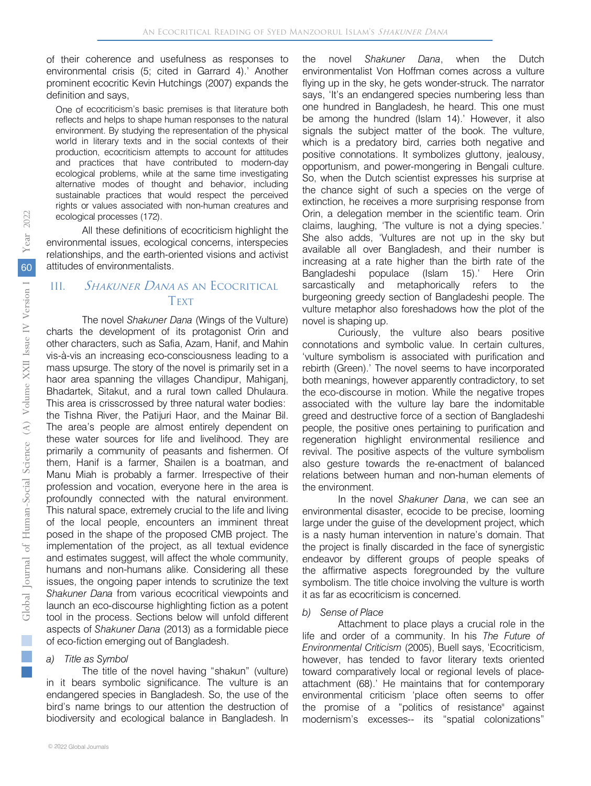of their coherence and usefulness as responses to environmental crisis (5; cited in Garrard 4).' Another prominent ecocritic Kevin Hutchings (2007) expands the definition and says,

One of ecocriticism's basic premises is that literature both reflects and helps to shape human responses to the natural environment. By studying the representation of the physical world in literary texts and in the social contexts of their production, ecocriticism attempts to account for attitudes and practices that have contributed to modern-day ecological problems, while at the same time investigating alternative modes of thought and behavior, including sustainable practices that would respect the perceived rights or values associated with non-human creatures and ecological processes (172).

All these definitions of ecocriticism highlight the environmental issues, ecological concerns, interspecies relationships, and the earth-oriented visions and activist attitudes of environmentalists.

## III. SHAKUNER DANA AS AN ECOCRITICAL **TEXT**

The novel *Shakuner Dana* (Wings of the Vulture) charts the development of its protagonist Orin and other characters, such as Safia, Azam, Hanif, and Mahin vis-à-vis an increasing eco-consciousness leading to a mass upsurge. The story of the novel is primarily set in a haor area spanning the villages Chandipur, Mahiganj, Bhadartek, Sitakut, and a rural town called Dhulaura. This area is crisscrossed by three natural water bodies: the Tishna River, the Patijuri Haor, and the Mainar Bil. The area's people are almost entirely dependent on these water sources for life and livelihood. They are primarily a community of peasants and fishermen. Of them, Hanif is a farmer, Shailen is a boatman, and Manu Miah is probably a farmer. Irrespective of their profession and vocation, everyone here in the area is profoundly connected with the natural environment. This natural space, extremely crucial to the life and living of the local people, encounters an imminent threat posed in the shape of the proposed CMB project. The implementation of the project, as all textual evidence and estimates suggest, will affect the whole community, humans and non-humans alike. Considering all these issues, the ongoing paper intends to scrutinize the text *Shakuner Dana* from various ecocritical viewpoints and launch an eco-discourse highlighting fiction as a potent tool in the process. Sections below will unfold different aspects of *Shakuner Dana* (2013) as a formidable piece of eco-fiction emerging out of Bangladesh.

#### *a) Title as Symbol*

The title of the novel having "shakun" (vulture) in it bears symbolic significance. The vulture is an endangered species in Bangladesh. So, the use of the bird's name brings to our attention the destruction of biodiversity and ecological balance in Bangladesh. In

the novel *Shakuner Dana*, when the Dutch environmentalist Von Hoffman comes across a vulture flying up in the sky, he gets wonder-struck. The narrator says, 'It's an endangered species numbering less than one hundred in Bangladesh, he heard. This one must be among the hundred (Islam 14).' However, it also signals the subject matter of the book. The vulture, which is a predatory bird, carries both negative and positive connotations. It symbolizes gluttony, jealousy, opportunism, and power-mongering in Bengali culture. So, when the Dutch scientist expresses his surprise at the chance sight of such a species on the verge of extinction, he receives a more surprising response from Orin, a delegation member in the scientific team. Orin claims, laughing, 'The vulture is not a dying species.' She also adds, 'Vultures are not up in the sky but available all over Bangladesh, and their number is increasing at a rate higher than the birth rate of the Bangladeshi populace (Islam 15).' Here Orin sarcastically and metaphorically refers to the burgeoning greedy section of Bangladeshi people. The vulture metaphor also foreshadows how the plot of the novel is shaping up.

Curiously, the vulture also bears positive connotations and symbolic value. In certain cultures, 'vulture symbolism is associated with purification and rebirth (Green).' The novel seems to have incorporated both meanings, however apparently contradictory, to set the eco-discourse in motion. While the negative tropes associated with the vulture lay bare the indomitable greed and destructive force of a section of Bangladeshi people, the positive ones pertaining to purification and regeneration highlight environmental resilience and revival. The positive aspects of the vulture symbolism also gesture towards the re-enactment of balanced relations between human and non-human elements of the environment.

In the novel *Shakuner Dana*, we can see an environmental disaster, ecocide to be precise, looming large under the guise of the development project, which is a nasty human intervention in nature's domain. That the project is finally discarded in the face of synergistic endeavor by different groups of people speaks of the affirmative aspects foregrounded by the vulture symbolism. The title choice involving the vulture is worth it as far as ecocriticism is concerned.

#### *b) Sense of Place*

Attachment to place plays a crucial role in the life and order of a community. In his *The Future of Environmental Criticism* (2005), Buell says, 'Ecocriticism, however, has tended to favor literary texts oriented toward comparatively local or regional levels of placeattachment (68).' He maintains that for contemporary environmental criticism 'place often seems to offer the promise of a "politics of resistance'' against modernism's excesses-- its "spatial colonizations"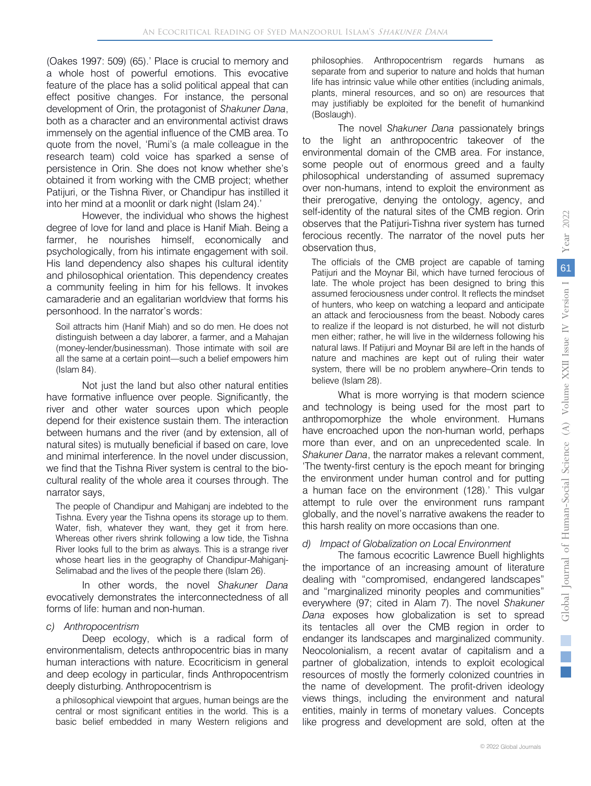(Oakes 1997: 509) (65).' Place is crucial to memory and a whole host of powerful emotions. This evocative feature of the place has a solid political appeal that can effect positive changes. For instance, the personal development of Orin, the protagonist of *Shakuner Dana*, both as a character and an environmental activist draws immensely on the agential influence of the CMB area. To quote from the novel, 'Rumi's (a male colleague in the research team) cold voice has sparked a sense of persistence in Orin. She does not know whether she's obtained it from working with the CMB project; whether Patijuri, or the Tishna River, or Chandipur has instilled it into her mind at a moonlit or dark night (Islam 24).'

However, the individual who shows the highest degree of love for land and place is Hanif Miah. Being a farmer, he nourishes himself, economically and psychologically, from his intimate engagement with soil. His land dependency also shapes his cultural identity and philosophical orientation. This dependency creates a community feeling in him for his fellows. It invokes camaraderie and an egalitarian worldview that forms his personhood. In the narrator's words:

Soil attracts him (Hanif Miah) and so do men. He does not distinguish between a day laborer, a farmer, and a Mahajan (money-lender/businessman). Those intimate with soil are all the same at a certain point—such a belief empowers him (Islam 84).

Not just the land but also other natural entities have formative influence over people. Significantly, the river and other water sources upon which people depend for their existence sustain them. The interaction between humans and the river (and by extension, all of natural sites) is mutually beneficial if based on care, love and minimal interference. In the novel under discussion, we find that the Tishna River system is central to the biocultural reality of the whole area it courses through. The narrator says,

The people of Chandipur and Mahiganj are indebted to the Tishna. Every year the Tishna opens its storage up to them. Water, fish, whatever they want, they get it from here. Whereas other rivers shrink following a low tide, the Tishna River looks full to the brim as always. This is a strange river whose heart lies in the geography of Chandipur-Mahiganj-Selimabad and the lives of the people there (Islam 26).

In other words, the novel *Shakuner Dana* evocatively demonstrates the interconnectedness of all forms of life: human and non-human.

#### *c) Anthropocentrism*

Deep ecology, which is a radical form of environmentalism, detects anthropocentric bias in many human interactions with nature. Ecocriticism in general and deep ecology in particular, finds Anthropocentrism deeply disturbing. Anthropocentrism is

a philosophical viewpoint that argues, human beings are the central or most significant entities in the world. This is a basic belief embedded in many Western religions and

philosophies. Anthropocentrism regards humans as separate from and superior to nature and holds that human life has intrinsic value while other entities (including animals, plants, mineral resources, and so on) are resources that may justifiably be exploited for the benefit of humankind (Boslaugh).

The novel *Shakuner Dana* passionately brings to the light an anthropocentric takeover of the environmental domain of the CMB area. For instance, some people out of enormous greed and a faulty philosophical understanding of assumed supremacy over non-humans, intend to exploit the environment as their prerogative, denying the ontology, agency, and self-identity of the natural sites of the CMB region. Orin observes that the Patijuri-Tishna river system has turned ferocious recently. The narrator of the novel puts her observation thus,

The officials of the CMB project are capable of taming Patijuri and the Moynar Bil, which have turned ferocious of late. The whole project has been designed to bring this assumed ferociousness under control. It reflects the mindset of hunters, who keep on watching a leopard and anticipate an attack and ferociousness from the beast. Nobody cares to realize if the leopard is not disturbed, he will not disturb men either; rather, he will live in the wilderness following his natural laws. If Patijuri and Moynar Bil are left in the hands of nature and machines are kept out of ruling their water system, there will be no problem anywhere–Orin tends to believe (Islam 28).

What is more worrying is that modern science and technology is being used for the most part to anthropomorphize the whole environment. Humans have encroached upon the non-human world, perhaps more than ever, and on an unprecedented scale. In *Shakuner Dana*, the narrator makes a relevant comment, 'The twenty-first century is the epoch meant for bringing the environment under human control and for putting a human face on the environment (128).' This vulgar attempt to rule over the environment runs rampant globally, and the novel's narrative awakens the reader to this harsh reality on more occasions than one.

#### *d) Impact of Globalization on Local Environment*

The famous ecocritic Lawrence Buell highlights the importance of an increasing amount of literature dealing with "compromised, endangered landscapes" and "marginalized minority peoples and communities" everywhere (97; cited in Alam 7). The novel *Shakuner Dana* exposes how globalization is set to spread its tentacles all over the CMB region in order to endanger its landscapes and marginalized community. Neocolonialism, a recent avatar of capitalism and a partner of globalization, intends to exploit ecological resources of mostly the formerly colonized countries in the name of development. The profit-driven ideology views things, including the environment and natural entities, mainly in terms of monetary values. Concepts like progress and development are sold, often at the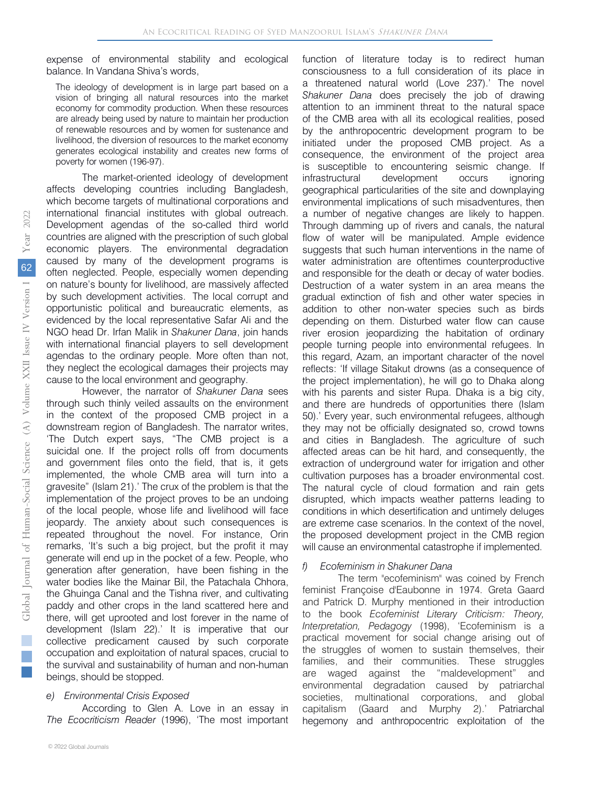expense of environmental stability and ecological balance. In Vandana Shiva's words,

The ideology of development is in large part based on a vision of bringing all natural resources into the market economy for commodity production. When these resources are already being used by nature to maintain her production of renewable resources and by women for sustenance and livelihood, the diversion of resources to the market economy generates ecological instability and creates new forms of poverty for women (196-97).

The market-oriented ideology of development affects developing countries including Bangladesh, which become targets of multinational corporations and international financial institutes with global outreach. Development agendas of the so-called third world countries are aligned with the prescription of such global economic players. The environmental degradation caused by many of the development programs is often neglected. People, especially women depending on nature's bounty for livelihood, are massively affected by such development activities. The local corrupt and opportunistic political and bureaucratic elements, as evidenced by the local representative Safar Ali and the NGO head Dr. Irfan Malik in *Shakuner Dana*, join hands with international financial players to sell development agendas to the ordinary people. More often than not, they neglect the ecological damages their projects may cause to the local environment and geography.

However, the narrator of *Shakuner Dana* sees through such thinly veiled assaults on the environment in the context of the proposed CMB project in a downstream region of Bangladesh. The narrator writes, 'The Dutch expert says, "The CMB project is a suicidal one. If the project rolls off from documents and government files onto the field, that is, it gets implemented, the whole CMB area will turn into a gravesite" (Islam 21).' The crux of the problem is that the implementation of the project proves to be an undoing of the local people, whose life and livelihood will face jeopardy. The anxiety about such consequences is repeated throughout the novel. For instance, Orin remarks, 'It's such a big project, but the profit it may generate will end up in the pocket of a few. People, who generation after generation, have been fishing in the water bodies like the Mainar Bil, the Patachala Chhora, the Ghuinga Canal and the Tishna river, and cultivating paddy and other crops in the land scattered here and there, will get uprooted and lost forever in the name of development (Islam 22).' It is imperative that our collective predicament caused by such corporate occupation and exploitation of natural spaces, crucial to the survival and sustainability of human and non-human beings, should be stopped.

#### *e) Environmental Crisis Exposed*

According to Glen A. Love in an essay in *The Ecocriticism Reader* (1996), 'The most important

 consciousness to a full consideration of its place in function of literature today is to redirect human a threatened natural world (Love 237).' The novel *Shakuner Dana* does precisely the job of drawing attention to an imminent threat to the natural space of the CMB area with all its ecological realities, posed by the anthropocentric development program to be initiated under the proposed CMB project. As a consequence, the environment of the project area is susceptible to encountering seismic change. If infrastructural development occurs ignoring geographical particularities of the site and downplaying environmental implications of such misadventures, then a number of negative changes are likely to happen. Through damming up of rivers and canals, the natural flow of water will be manipulated. Ample evidence suggests that such human interventions in the name of water administration are oftentimes counterproductive and responsible for the death or decay of water bodies. Destruction of a water system in an area means the gradual extinction of fish and other water species in addition to other non-water species such as birds depending on them. Disturbed water flow can cause river erosion jeopardizing the habitation of ordinary people turning people into environmental refugees. In this regard, Azam, an important character of the novel reflects: 'If village Sitakut drowns (as a consequence of the project implementation), he will go to Dhaka along with his parents and sister Rupa. Dhaka is a big city, and there are hundreds of opportunities there (Islam 50).' Every year, such environmental refugees, although they may not be officially designated so, crowd towns and cities in Bangladesh. The agriculture of such affected areas can be hit hard, and consequently, the extraction of underground water for irrigation and other cultivation purposes has a broader environmental cost. The natural cycle of cloud formation and rain gets disrupted, which impacts weather patterns leading to conditions in which desertification and untimely deluges are extreme case scenarios. In the context of the novel, the proposed development project in the CMB region will cause an environmental catastrophe if implemented.

#### *f) Ecofeminism in Shakuner Dana*

The term "ecofeminism" was coined by French feminist Françoise d'Eaubonne in 1974. Greta Gaard and Patrick D. Murphy mentioned in their introduction to the book *Ecofeminist Literary Criticism: Theory, Interpretation, Pedagogy* (1998), 'Ecofeminism is a practical movement for social change arising out of the struggles of women to sustain themselves, their families, and their communities. These struggles are waged against the "maldevelopment" and environmental degradation caused by patriarchal societies, multinational corporations, and global capitalism (Gaard and Murphy 2).' Patriarchal hegemony and anthropocentric exploitation of the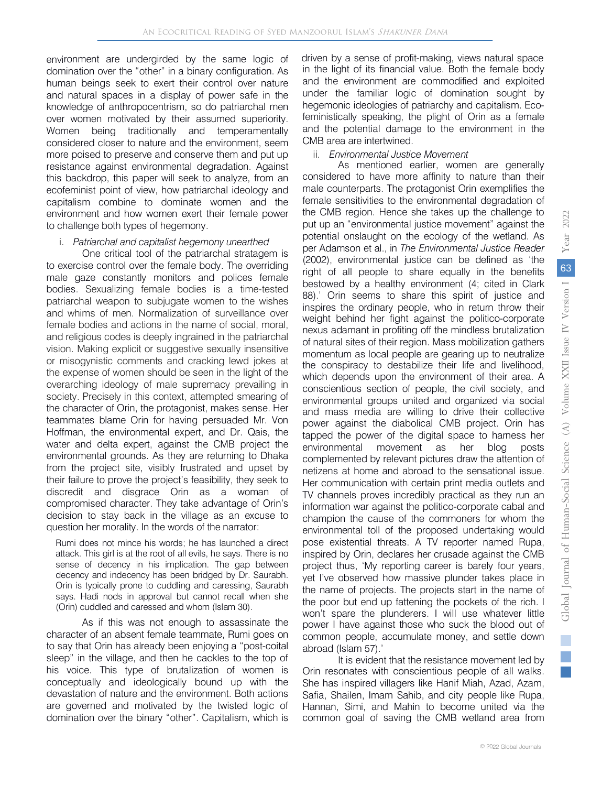environment are undergirded by the same logic of domination over the "other" in a binary configuration. As human beings seek to exert their control over nature and natural spaces in a display of power safe in the knowledge of anthropocentrism, so do patriarchal men over women motivated by their assumed superiority. Women being traditionally and temperamentally considered closer to nature and the environment, seem more poised to preserve and conserve them and put up resistance against environmental degradation. Against this backdrop, this paper will seek to analyze, from an ecofeminist point of view, how patriarchal ideology and capitalism combine to dominate women and the environment and how women exert their female power to challenge both types of hegemony.

## i. *Patriarchal and capitalist hegemony unearthed*

One critical tool of the patriarchal stratagem is to exercise control over the female body. The overriding male gaze constantly monitors and polices female bodies. Sexualizing female bodies is a time-tested patriarchal weapon to subjugate women to the wishes and whims of men. Normalization of surveillance over female bodies and actions in the name of social, moral, and religious codes is deeply ingrained in the patriarchal vision. Making explicit or suggestive sexually insensitive or misogynistic comments and cracking lewd jokes at the expense of women should be seen in the light of the overarching ideology of male supremacy prevailing in society. Precisely in this context, attempted smearing of the character of Orin, the protagonist, makes sense. Her teammates blame Orin for having persuaded Mr. Von Hoffman, the environmental expert, and Dr. Qais, the water and delta expert, against the CMB project the environmental grounds. As they are returning to Dhaka from the project site, visibly frustrated and upset by their failure to prove the project's feasibility, they seek to discredit and disgrace Orin as a woman of compromised character. They take advantage of Orin's decision to stay back in the village as an excuse to question her morality. In the words of the narrator:

Rumi does not mince his words; he has launched a direct attack. This girl is at the root of all evils, he says. There is no sense of decency in his implication. The gap between decency and indecency has been bridged by Dr. Saurabh. Orin is typically prone to cuddling and caressing, Saurabh says. Hadi nods in approval but cannot recall when she (Orin) cuddled and caressed and whom (Islam 30).

As if this was not enough to assassinate the character of an absent female teammate, Rumi goes on to say that Orin has already been enjoying a "post-coital sleep" in the village, and then he cackles to the top of his voice. This type of brutalization of women is conceptually and ideologically bound up with the devastation of nature and the environment. Both actions are governed and motivated by the twisted logic of domination over the binary "other". Capitalism, which is driven by a sense of profit-making, views natural space in the light of its financial value. Both the female body and the environment are commodified and exploited under the familiar logic of domination sought by hegemonic ideologies of patriarchy and capitalism. Ecofeministically speaking, the plight of Orin as a female and the potential damage to the environment in the CMB area are intertwined.

## ii. *Environmental Justice Movement*

As mentioned earlier, women are generally considered to have more affinity to nature than their male counterparts. The protagonist Orin exemplifies the female sensitivities to the environmental degradation of the CMB region. Hence she takes up the challenge to put up an "environmental justice movement" against the potential onslaught on the ecology of the wetland. As per Adamson et al., in *The Environmental Justice Reader*  (2002), environmental justice can be defined as 'the right of all people to share equally in the benefits bestowed by a healthy environment (4; cited in Clark 88).' Orin seems to share this spirit of justice and inspires the ordinary people, who in return throw their weight behind her fight against the politico-corporate nexus adamant in profiting off the mindless brutalization of natural sites of their region. Mass mobilization gathers momentum as local people are gearing up to neutralize the conspiracy to destabilize their life and livelihood, which depends upon the environment of their area. A conscientious section of people, the civil society, and environmental groups united and organized via social and mass media are willing to drive their collective power against the diabolical CMB project. Orin has tapped the power of the digital space to harness her environmental movement as her blog posts complemented by relevant pictures draw the attention of netizens at home and abroad to the sensational issue. Her communication with certain print media outlets and TV channels proves incredibly practical as they run an information war against the politico-corporate cabal and champion the cause of the commoners for whom the environmental toll of the proposed undertaking would pose existential threats. A TV reporter named Rupa, inspired by Orin, declares her crusade against the CMB project thus, 'My reporting career is barely four years, yet I've observed how massive plunder takes place in the name of projects. The projects start in the name of the poor but end up fattening the pockets of the rich. I won't spare the plunderers. I will use whatever little power I have against those who suck the blood out of common people, accumulate money, and settle down abroad (Islam 57).'

It is evident that the resistance movement led by Orin resonates with conscientious people of all walks. She has inspired villagers like Hanif Miah, Azad, Azam, Safia, Shailen, Imam Sahib, and city people like Rupa, Hannan, Simi, and Mahin to become united via the common goal of saving the CMB wetland area from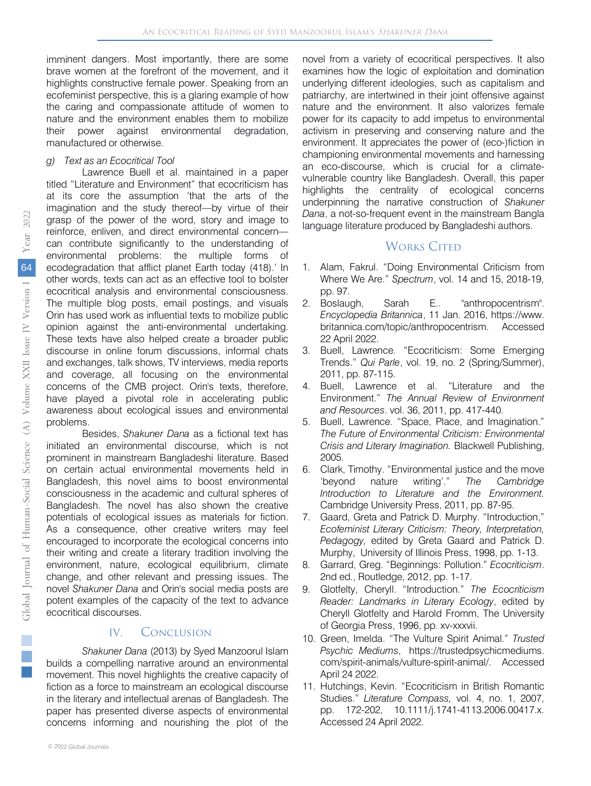imminent dangers. Most importantly, there are some brave women at the forefront of the movement, and it highlights constructive female power. Speaking from an ecofeminist perspective, this is a glaring example of how the caring and compassionate attitude of women to nature and the environment enables them to mobilize their power against environmental degradation, manufactured or otherwise.

## *g) Text as an Ecocritical Tool*

Lawrence Buell et al. maintained in a paper titled "Literature and Environment" that ecocriticism has at its core the assumption 'that the arts of the imagination and the study thereof—by virtue of their grasp of the power of the word, story and image to reinforce, enliven, and direct environmental concern can contribute significantly to the understanding of environmental problems: the multiple forms of ecodegradation that afflict planet Earth today (418).' In other words, texts can act as an effective tool to bolster ecocritical analysis and environmental consciousness. The multiple blog posts, email postings, and visuals Orin has used work as influential texts to mobilize public opinion against the anti-environmental undertaking. These texts have also helped create a broader public discourse in online forum discussions, informal chats and exchanges, talk shows, TV interviews, media reports and coverage, all focusing on the environmental concerns of the CMB project. Orin's texts, therefore, have played a pivotal role in accelerating public awareness about ecological issues and environmental problems.

Besides, *Shakuner Dana* as a fictional text has initiated an environmental discourse, which is not prominent in mainstream Bangladeshi literature. Based on certain actual environmental movements held in Bangladesh, this novel aims to boost environmental consciousness in the academic and cultural spheres of Bangladesh. The novel has also shown the creative potentials of ecological issues as materials for fiction. As a consequence, other creative writers may feel encouraged to incorporate the ecological concerns into their writing and create a literary tradition involving the environment, nature, ecological equilibrium, climate change, and other relevant and pressing issues. The novel *Shakuner Dana* and Orin's social media posts are potent examples of the capacity of the text to advance ecocritical discourses.

## IV. Conclusion

*Shakuner Dana* (2013) by Syed Manzoorul Islam builds a compelling narrative around an environmental movement. This novel highlights the creative capacity of fiction as a force to mainstream an ecological discourse in the literary and intellectual arenas of Bangladesh. The paper has presented diverse aspects of environmental concerns informing and nourishing the plot of the

novel from a variety of ecocritical perspectives. It also examines how the logic of exploitation and domination underlying different ideologies, such as capitalism and patriarchy, are intertwined in their joint offensive against nature and the environment. It also valorizes female power for its capacity to add impetus to environmental activism in preserving and conserving nature and the environment. It appreciates the power of (eco-)fiction in championing environmental movements and harnessing an eco-discourse, which is crucial for a climatevulnerable country like Bangladesh. Overall, this paper highlights the centrality of ecological concerns underpinning the narrative construction of *Shakuner Dana*, a not-so-frequent event in the mainstream Bangla language literature produced by Bangladeshi authors.

## WORKS CITED

- 1. Alam, Fakrul. "Doing Environmental Criticism from Where We Are." *Spectrum*, vol. 14 and 15, 2018-19, pp. 97.
- 2. Boslaugh, Sarah E.. "anthropocentrism". *Encyclopedia Britannica*, 11 Jan. 2016, https://www. britannica.com/topic/anthropocentrism. Accessed 22 April 2022.
- 3. Buell, Lawrence. "Ecocriticism: Some Emerging Trends." *Qui Parle*, vol. 19, no. 2 (Spring/Summer), 2011, pp. 87-115.
- 4. Buell, Lawrence et al. "Literature and the Environment." *The Annual Review of Environment and Resources*. vol. 36, 2011, pp. 417-440.
- 5. Buell, Lawrence. "Space, Place, and Imagination." *The Future of Environmental Criticism: Environmental Crisis and Literary Imagination.* Blackwell Publishing, 2005.
- 6. Clark, Timothy. "Environmental justice and the move 'beyond nature writing'." *The Cambridge Introduction to Literature and the Environment.* Cambridge University Press, 2011, pp. 87-95.
- 7. Gaard, Greta and Patrick D. Murphy. "Introduction," *Ecofeminist Literary Criticism: Theory, Interpretation, Pedagogy,* edited by Greta Gaard and Patrick D. Murphy, University of Illinois Press, 1998, pp. 1-13.
- 8. Garrard, Greg. "Beginnings: Pollution." *Ecocriticism*. 2nd ed., Routledge, 2012, pp. 1-17.
- 9. Glotfelty, Cheryll. "Introduction." *The Ecocriticism Reader: Landmarks in Literary Ecology*, edited by Cheryll Glotfelty and Harold Fromm, The University of Georgia Press, 1996, pp. xv-xxxvii.
- *Psychic Mediums*, https://trustedpsychicmediums. 10. Green, Imelda. "The Vulture Spirit Animal." *Trusted*  com/spirit-animals/vulture-spirit-animal/. Accessed April 24 2022.
- 11. Hutchings, Kevin. "Ecocriticism in British Romantic Studies." *Literature Compass,* vol. 4, no. 1, 2007, pp. 172-202, 10.1111/j.1741-4113.2006.00417.x. Accessed 24 April 2022.